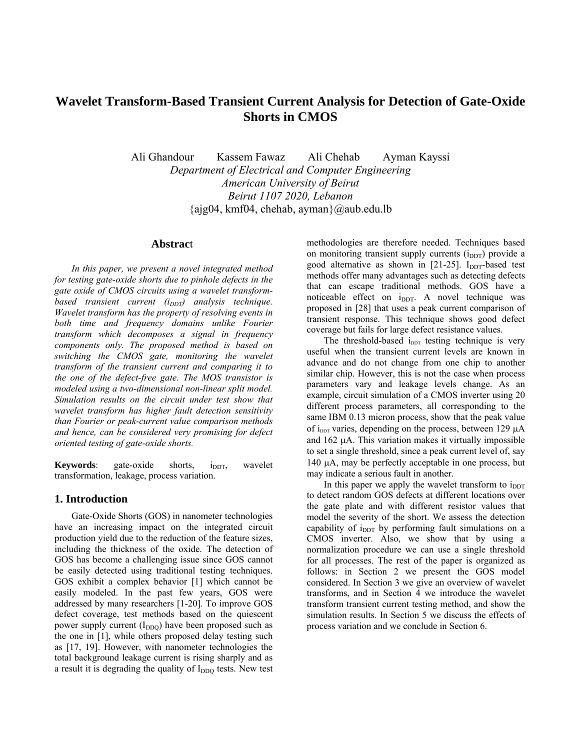# **Wavelet Transform-Based Transient Current Analysis for Detection of Gate-Oxide Shorts in CMOS**

Ali Ghandour Kassem Fawaz Ali Chehab Ayman Kayssi *Department of Electrical and Computer Engineering American University of Beirut Beirut 1107 2020, Lebanon*   ${a}$ jg04, kmf04, chehab, ayman $\{a\}$ aub.edu.lb

# **Abstrac**t

*In this paper, we present a novel integrated method for testing gate-oxide shorts due to pinhole defects in the gate oxide of CMOS circuits using a wavelet transformbased transient current (i<sub>DDT</sub>) analysis technique. Wavelet transform has the property of resolving events in both time and frequency domains unlike Fourier transform which decomposes a signal in frequency components only. The proposed method is based on switching the CMOS gate, monitoring the wavelet transform of the transient current and comparing it to the one of the defect-free gate. The MOS transistor is modeled using a two-dimensional non-linear split model. Simulation results on the circuit under test show that wavelet transform has higher fault detection sensitivity than Fourier or peak-current value comparison methods and hence, can be considered very promising for defect oriented testing of gate-oxide shorts.*

**Keywords**: gate-oxide shorts,  $i_{\text{DDT}}$ , wavelet transformation, leakage, process variation.

### **1. Introduction**

Gate-Oxide Shorts (GOS) in nanometer technologies have an increasing impact on the integrated circuit production yield due to the reduction of the feature sizes, including the thickness of the oxide. The detection of GOS has become a challenging issue since GOS cannot be easily detected using traditional testing techniques. GOS exhibit a complex behavior [1] which cannot be easily modeled. In the past few years, GOS were addressed by many researchers [1-20]. To improve GOS defect coverage, test methods based on the quiescent power supply current  $(I_{DDO})$  have been proposed such as the one in [1], while others proposed delay testing such as [17, 19]. However, with nanometer technologies the total background leakage current is rising sharply and as a result it is degrading the quality of I<sub>DDQ</sub> tests. New test methodologies are therefore needed. Techniques based on monitoring transient supply currents  $(i_{DDT})$  provide a good alternative as shown in  $[21-25]$ . I<sub>DDT</sub>-based test methods offer many advantages such as detecting defects that can escape traditional methods. GOS have a noticeable effect on  $i_{\text{DDT}}$ . A novel technique was proposed in [28] that uses a peak current comparison of transient response. This technique shows good defect coverage but fails for large defect resistance values.

The threshold-based  $i_{\text{DDT}}$  testing technique is very useful when the transient current levels are known in advance and do not change from one chip to another similar chip. However, this is not the case when process parameters vary and leakage levels change. As an example, circuit simulation of a CMOS inverter using 20 different process parameters, all corresponding to the same IBM 0.13 micron process, show that the peak value of  $i_{\text{DDT}}$  varies, depending on the process, between 129  $\mu$ A and 162 μA. This variation makes it virtually impossible to set a single threshold, since a peak current level of, say 140 μA, may be perfectly acceptable in one process, but may indicate a serious fault in another.

In this paper we apply the wavelet transform to  $i<sub>DDT</sub>$ to detect random GOS defects at different locations over the gate plate and with different resistor values that model the severity of the short. We assess the detection capability of  $i_{\text{DDT}}$  by performing fault simulations on a CMOS inverter. Also, we show that by using a normalization procedure we can use a single threshold for all processes. The rest of the paper is organized as follows: in Section 2 we present the GOS model considered. In Section 3 we give an overview of wavelet transforms, and in Section 4 we introduce the wavelet transform transient current testing method, and show the simulation results. In Section 5 we discuss the effects of process variation and we conclude in Section 6.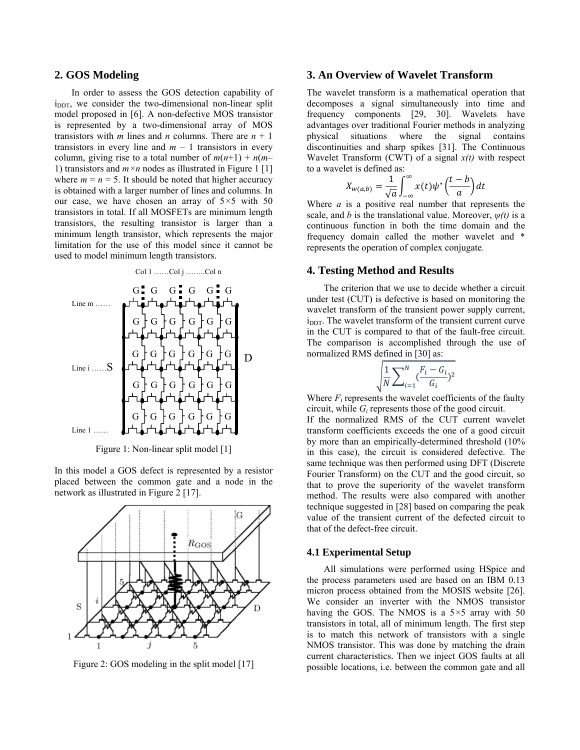### **2. GOS Modeling**

In order to assess the GOS detection capability of  $i_{\text{DDT}}$ , we consider the two-dimensional non-linear split model proposed in [6]. A non-defective MOS transistor is represented by a two-dimensional array of MOS transistors with *m* lines and *n* columns. There are  $n + 1$ transistors in every line and  $m - 1$  transistors in every column, giving rise to a total number of  $m(n+1) + n(m-1)$ 1) transistors and *m×n* nodes as illustrated in Figure 1 [1] where  $m = n = 5$ . It should be noted that higher accuracy is obtained with a larger number of lines and columns. In our case, we have chosen an array of 5*×*5 with 50 transistors in total. If all MOSFETs are minimum length transistors, the resulting transistor is larger than a minimum length transistor, which represents the major limitation for the use of this model since it cannot be used to model minimum length transistors.



Figure 1: Non-linear split model [1]

In this model a GOS defect is represented by a resistor placed between the common gate and a node in the network as illustrated in Figure 2 [17].



Figure 2: GOS modeling in the split model [17]

# **3. An Overview of Wavelet Transform**

The wavelet transform is a mathematical operation that decomposes a signal simultaneously into time and frequency components [29, 30]. Wavelets have advantages over traditional Fourier methods in analyzing physical situations where the signal contains discontinuities and sharp spikes [31]. The Continuous Wavelet Transform (CWT) of a signal *x(t)* with respect to a wavelet is defined as:

$$
X_{w(a,b)} = \frac{1}{\sqrt{a}} \int_{-\infty}^{\infty} x(t) \psi^* \left(\frac{t-b}{a}\right) dt
$$

Where *a* is a positive real number that represents the scale, and *b* is the translational value. Moreover, *ψ(t)* is a continuous function in both the time domain and the frequency domain called the mother wavelet and \* represents the operation of complex conjugate.

# **4. Testing Method and Results**

The criterion that we use to decide whether a circuit under test (CUT) is defective is based on monitoring the wavelet transform of the transient power supply current,  $i<sub>DDT</sub>$ . The wavelet transform of the transient current curve in the CUT is compared to that of the fault-free circuit. The comparison is accomplished through the use of normalized RMS defined in [30] as:

$$
\sqrt{\frac{1}{N}\sum_{i=1}^{N} \frac{F_i - G_i}{G_i}})^2
$$

Where  $F_i$  represents the wavelet coefficients of the faulty circuit, while *Gi* represents those of the good circuit.

If the normalized RMS of the CUT current wavelet transform coefficients exceeds the one of a good circuit by more than an empirically-determined threshold (10% in this case), the circuit is considered defective. The same technique was then performed using DFT (Discrete Fourier Transform) on the CUT and the good circuit, so that to prove the superiority of the wavelet transform method. The results were also compared with another technique suggested in [28] based on comparing the peak value of the transient current of the defected circuit to that of the defect-free circuit.

#### **4.1 Experimental Setup**

All simulations were performed using HSpice and the process parameters used are based on an IBM 0.13 micron process obtained from the MOSIS website [26]. We consider an inverter with the NMOS transistor having the GOS. The NMOS is a 5*×*5 array with 50 transistors in total, all of minimum length. The first step is to match this network of transistors with a single NMOS transistor. This was done by matching the drain current characteristics. Then we inject GOS faults at all possible locations, i.e. between the common gate and all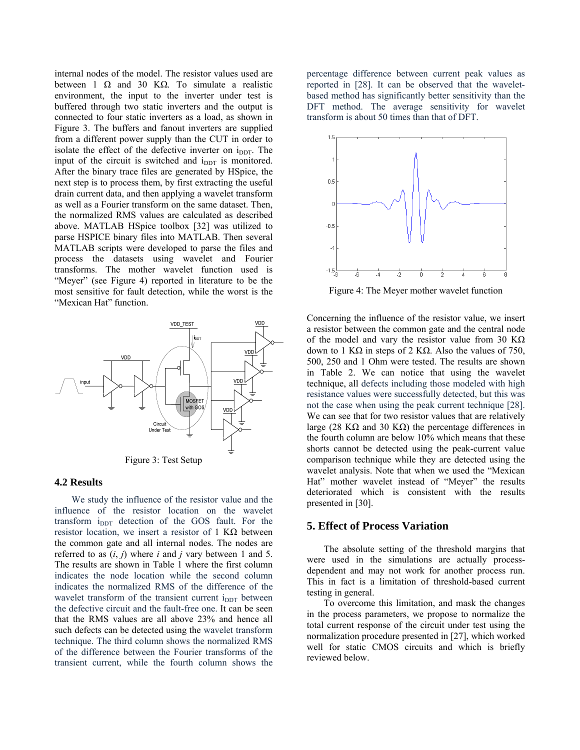internal nodes of the model. The resistor values used are between 1 Ω and 30 KΩ. To simulate a realistic environment, the input to the inverter under test is buffered through two static inverters and the output is connected to four static inverters as a load, as shown in Figure 3. The buffers and fanout inverters are supplied from a different power supply than the CUT in order to isolate the effect of the defective inverter on  $i_{\text{DDT}}$ . The input of the circuit is switched and i<sub>DDT</sub> is monitored. After the binary trace files are generated by HSpice, the next step is to process them, by first extracting the useful drain current data, and then applying a wavelet transform as well as a Fourier transform on the same dataset. Then, the normalized RMS values are calculated as described above. MATLAB HSpice toolbox [32] was utilized to parse HSPICE binary files into MATLAB. Then several MATLAB scripts were developed to parse the files and process the datasets using wavelet and Fourier transforms. The mother wavelet function used is "Meyer" (see Figure 4) reported in literature to be the most sensitive for fault detection, while the worst is the "Mexican Hat" function.



#### **4.2 Results**

We study the influence of the resistor value and the influence of the resistor location on the wavelet transform i<sub>DDT</sub> detection of the GOS fault. For the resistor location, we insert a resistor of 1 KΩ between the common gate and all internal nodes. The nodes are referred to as (*i*, *j*) where *i* and *j* vary between 1 and 5. The results are shown in Table 1 where the first column indicates the node location while the second column indicates the normalized RMS of the difference of the wavelet transform of the transient current  $i_{\text{DDT}}$  between the defective circuit and the fault-free one. It can be seen that the RMS values are all above 23% and hence all such defects can be detected using the wavelet transform technique. The third column shows the normalized RMS of the difference between the Fourier transforms of the transient current, while the fourth column shows the

percentage difference between current peak values as reported in [28]. It can be observed that the waveletbased method has significantly better sensitivity than the DFT method. The average sensitivity for wavelet transform is about 50 times than that of DFT.



Figure 4: The Meyer mother wavelet function

Concerning the influence of the resistor value, we insert a resistor between the common gate and the central node of the model and vary the resistor value from 30 K $\Omega$ down to 1 KΩ in steps of 2 KΩ. Also the values of 750, 500, 250 and 1 Ohm were tested. The results are shown in Table 2. We can notice that using the wavelet technique, all defects including those modeled with high resistance values were successfully detected, but this was not the case when using the peak current technique [28]. We can see that for two resistor values that are relatively large (28 KΩ and 30 KΩ) the percentage differences in the fourth column are below 10% which means that these shorts cannot be detected using the peak-current value comparison technique while they are detected using the wavelet analysis. Note that when we used the "Mexican Hat" mother wavelet instead of "Meyer" the results deteriorated which is consistent with the results presented in [30].

# **5. Effect of Process Variation**

The absolute setting of the threshold margins that were used in the simulations are actually processdependent and may not work for another process run. This in fact is a limitation of threshold-based current testing in general.

To overcome this limitation, and mask the changes in the process parameters, we propose to normalize the total current response of the circuit under test using the normalization procedure presented in [27], which worked well for static CMOS circuits and which is briefly reviewed below.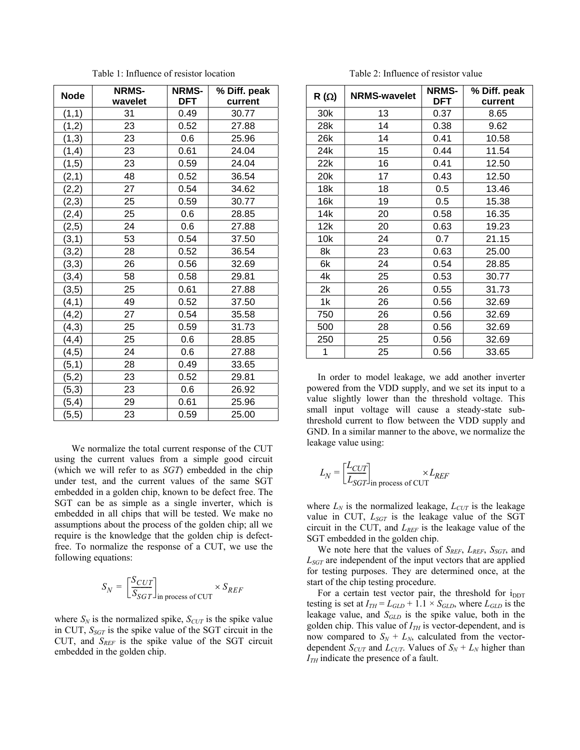| <b>Node</b> | <b>NRMS-</b> | <b>NRMS-</b> | % Diff. peak |
|-------------|--------------|--------------|--------------|
|             | wavelet      | DFT          | current      |
| (1,1)       | 31           | 0.49         | 30.77        |
| (1,2)       | 23           | 0.52         | 27.88        |
| (1,3)       | 23           | 0.6          | 25.96        |
| (1,4)       | 23           | 0.61         | 24.04        |
| (1, 5)      | 23           | 0.59         | 24.04        |
| (2,1)       | 48           | 0.52         | 36.54        |
| (2,2)       | 27           | 0.54         | 34.62        |
| (2,3)       | 25           | 0.59         | 30.77        |
| (2, 4)      | 25           | 0.6          | 28.85        |
| (2, 5)      | 24           | 0.6          | 27.88        |
| (3,1)       | 53           | 0.54         | 37.50        |
| (3,2)       | 28           | 0.52         | 36.54        |
| (3,3)       | 26           | 0.56         | 32.69        |
| (3, 4)      | 58           | 0.58         | 29.81        |
| (3, 5)      | 25           | 0.61         | 27.88        |
| (4, 1)      | 49           | 0.52         | 37.50        |
| (4,2)       | 27           | 0.54         | 35.58        |
| (4,3)       | 25           | 0.59         | 31.73        |
| (4, 4)      | 25           | 0.6          | 28.85        |
| (4, 5)      | 24           | 0.6          | 27.88        |
| (5,1)       | 28           | 0.49         | 33.65        |
| (5,2)       | 23           | 0.52         | 29.81        |
| (5,3)       | 23           | 0.6          | 26.92        |
| (5, 4)      | 29           | 0.61         | 25.96        |
| (5, 5)      | 23           | 0.59         | 25.00        |

Table 1: Influence of resistor location

We normalize the total current response of the CUT using the current values from a simple good circuit (which we will refer to as *SGT*) embedded in the chip under test, and the current values of the same SGT embedded in a golden chip, known to be defect free. The SGT can be as simple as a single inverter, which is embedded in all chips that will be tested. We make no assumptions about the process of the golden chip; all we require is the knowledge that the golden chip is defectfree. To normalize the response of a CUT, we use the following equations:

$$
S_N = \left[\frac{S_{CUT}}{S_{SGT}}\right]_{\text{in process of CUT}} \times S_{REF}
$$

where  $S_N$  is the normalized spike,  $S_{CUT}$  is the spike value in CUT,  $S_{SGT}$  is the spike value of the SGT circuit in the CUT, and  $S_{REF}$  is the spike value of the SGT circuit embedded in the golden chip.

Table 2: Influence of resistor value

| $R(\Omega)$ | <b>NRMS-wavelet</b> | <b>NRMS-</b><br>DFT | % Diff. peak    |
|-------------|---------------------|---------------------|-----------------|
| 30k         | 13                  | 0.37                | current<br>8.65 |
| 28k         | 14                  | 0.38                | 9.62            |
| 26k         | 14                  | 0.41                | 10.58           |
| 24k         | 15                  | 0.44                | 11.54           |
| 22k         | 16                  | 0.41                | 12.50           |
| 20k         | 17                  | 0.43                | 12.50           |
| 18k         | 18                  | 0.5                 | 13.46           |
| 16k         | 19                  | 0.5                 | 15.38           |
| 14k         | 20                  | 0.58                | 16.35           |
| 12k         | 20                  | 0.63                | 19.23           |
| 10k         | 24                  | 0.7                 | 21.15           |
| 8k          | 23                  | 0.63                | 25.00           |
| 6k          | 24                  | 0.54                | 28.85           |
| 4k          | 25                  | 0.53                | 30.77           |
| 2k          | 26                  | 0.55                | 31.73           |
| 1k          | 26                  | 0.56                | 32.69           |
| 750         | 26                  |                     |                 |
|             |                     | 0.56                | 32.69           |
| 500         | 28                  | 0.56                | 32.69           |
| 250         | 25                  | 0.56                | 32.69           |
| 1           | 25                  | 0.56                | 33.65           |

In order to model leakage, we add another inverter powered from the VDD supply, and we set its input to a value slightly lower than the threshold voltage. This small input voltage will cause a steady-state subthreshold current to flow between the VDD supply and GND. In a similar manner to the above, we normalize the leakage value using:

$$
L_N = \left[\frac{L_{CUT}}{L_{SGT}}\right]_{\text{in process of CUT}} \times L_{REF}
$$

where  $L_N$  is the normalized leakage,  $L_{CUT}$  is the leakage value in CUT,  $L_{SGT}$  is the leakage value of the SGT circuit in the CUT, and  $L_{REF}$  is the leakage value of the SGT embedded in the golden chip.

We note here that the values of *SREF*, *LREF*, *SSGT*, and *LSGT* are independent of the input vectors that are applied for testing purposes. They are determined once, at the start of the chip testing procedure.

For a certain test vector pair, the threshold for  $i_{\text{DDT}}$ testing is set at  $I_{TH} = L_{GLD} + 1.1 \times S_{GLD}$ , where  $L_{GLD}$  is the leakage value, and *SGLD* is the spike value, both in the golden chip. This value of  $I_{TH}$  is vector-dependent, and is now compared to  $S_N + L_N$ , calculated from the vectordependent *S<sub>CUT</sub>* and *L<sub>CUT</sub>*. Values of  $S_N + L_N$  higher than *I*<sub>*IH*</sub> indicate the presence of a fault.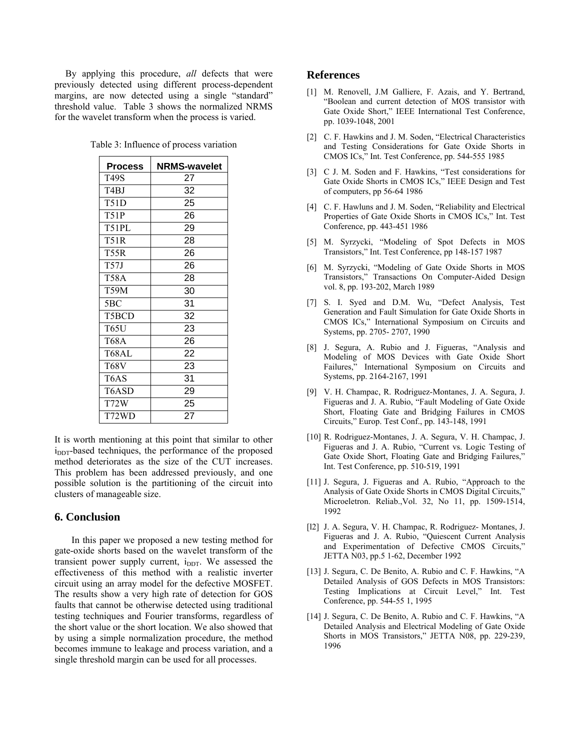By applying this procedure, *all* defects that were previously detected using different process-dependent margins, are now detected using a single "standard" threshold value. Table 3 shows the normalized NRMS for the wavelet transform when the process is varied.

|  | Table 3: Influence of process variation |  |
|--|-----------------------------------------|--|
|  |                                         |  |

| <b>Process</b> | <b>NRMS-wavelet</b> |  |
|----------------|---------------------|--|
| T49S           | 27                  |  |
| T4BJ           | 32                  |  |
| T51D           | 25                  |  |
| <b>T51P</b>    | 26                  |  |
| T51PL          | 29                  |  |
| T51R           | 28                  |  |
| T55R           | 26                  |  |
| T57J           | 26                  |  |
| T58A           | 28                  |  |
| T59M           | 30                  |  |
| 5BC            | 31                  |  |
| T5BCD          | 32                  |  |
| T65U           | 23                  |  |
| T68A           | 26                  |  |
| T68AL          | 22                  |  |
| T68V           | 23                  |  |
| T6AS           | 31                  |  |
| T6ASD          | 29                  |  |
| T72W           | 25                  |  |
| T72WD          | 27                  |  |

It is worth mentioning at this point that similar to other i<sub>DDT</sub>-based techniques, the performance of the proposed method deteriorates as the size of the CUT increases. This problem has been addressed previously, and one possible solution is the partitioning of the circuit into clusters of manageable size.

### **6. Conclusion**

In this paper we proposed a new testing method for gate-oxide shorts based on the wavelet transform of the transient power supply current,  $i_{\text{DDT}}$ . We assessed the effectiveness of this method with a realistic inverter circuit using an array model for the defective MOSFET. The results show a very high rate of detection for GOS faults that cannot be otherwise detected using traditional testing techniques and Fourier transforms, regardless of the short value or the short location. We also showed that by using a simple normalization procedure, the method becomes immune to leakage and process variation, and a single threshold margin can be used for all processes.

### **References**

- [1] M. Renovell, J.M Galliere, F. Azais, and Y. Bertrand, "Boolean and current detection of MOS transistor with Gate Oxide Short," IEEE International Test Conference, pp. 1039-1048, 2001
- [2] C. F. Hawkins and J. M. Soden, "Electrical Characteristics" and Testing Considerations for Gate Oxide Shorts in CMOS ICs," Int. Test Conference, pp. 544-555 1985
- [3] C J. M. Soden and F. Hawkins, "Test considerations for Gate Oxide Shorts in CMOS ICs," IEEE Design and Test of computers, pp 56-64 1986
- [4] C. F. Hawluns and J. M. Soden, "Reliability and Electrical Properties of Gate Oxide Shorts in CMOS ICs," Int. Test Conference, pp. 443-451 1986
- [5] M. Syrzycki, "Modeling of Spot Defects in MOS Transistors," Int. Test Conference, pp 148-157 1987
- [6] M. Syrzycki, "Modeling of Gate Oxide Shorts in MOS Transistors," Transactions On Computer-Aided Design vol. 8, pp. 193-202, March 1989
- [7] S. I. Syed and D.M. Wu, "Defect Analysis, Test Generation and Fault Simulation for Gate Oxide Shorts in CMOS ICs," International Symposium on Circuits and Systems, pp. 2705- 2707, 1990
- [8] J. Segura, A. Rubio and J. Figueras, "Analysis and Modeling of MOS Devices with Gate Oxide Short Failures," International Symposium on Circuits and Systems, pp. 2164-2167, 1991
- [9] V. H. Champac, R. Rodriguez-Montanes, J. A. Segura, J. Figueras and J. A. Rubio, "Fault Modeling of Gate Oxide Short, Floating Gate and Bridging Failures in CMOS Circuits," Europ. Test Conf., pp. 143-148, 1991
- [10] R. Rodriguez-Montanes, J. A. Segura, V. H. Champac, J. Figueras and J. A. Rubio, "Current vs. Logic Testing of Gate Oxide Short, Floating Gate and Bridging Failures," Int. Test Conference, pp. 510-519, 1991
- [11] J. Segura, J. Figueras and A. Rubio, "Approach to the Analysis of Gate Oxide Shorts in CMOS Digital Circuits," Microeletron. Reliab.,Vol. 32, No 11, pp. 1509-1514, 1992
- [l2] J. A. Segura, V. H. Champac, R. Rodriguez- Montanes, J. Figueras and J. A. Rubio, "Quiescent Current Analysis and Experimentation of Defective CMOS Circuits," JETTA N03, pp.5 1-62, December 1992
- [13] J. Segura, C. De Benito, A. Rubio and C. F. Hawkins, "A Detailed Analysis of GOS Defects in MOS Transistors: Testing Implications at Circuit Level," Int. Test Conference, pp. 544-55 1, 1995
- [14] J. Segura, C. De Benito, A. Rubio and C. F. Hawkins, "A Detailed Analysis and Electrical Modeling of Gate Oxide Shorts in MOS Transistors," JETTA N08, pp. 229-239, 1996